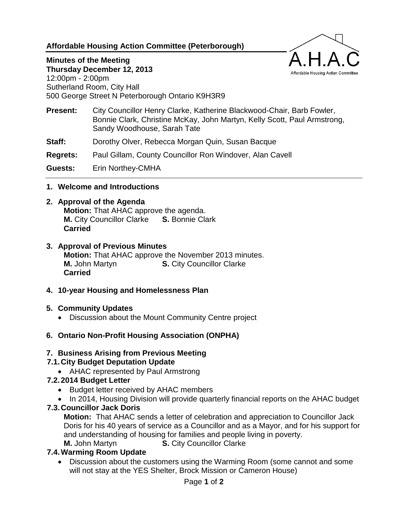### **Affordable Housing Action Committee (Peterborough)**

# **Minutes of the Meeting**

**Thursday December 12, 2013** 12:00pm - 2:00pm Sutherland Room, City Hall 500 George Street N Peterborough Ontario K9H3R9

**Present:** City Councillor Henry Clarke, Katherine Blackwood-Chair, Barb Fowler, Bonnie Clark, Christine McKay, John Martyn, Kelly Scott, Paul Armstrong, Sandy Woodhouse, Sarah Tate

Affordable Housing Action Committee

- **Staff:** Dorothy Olver, Rebecca Morgan Quin, Susan Bacque
- **Regrets:** Paul Gillam, County Councillor Ron Windover, Alan Cavell

**Guests:** Erin Northey-CMHA

**1. Welcome and Introductions**

#### **2. Approval of the Agenda**

**Motion:** That AHAC approve the agenda. **M.** City Councillor Clarke **S.** Bonnie Clark **Carried**

#### **3. Approval of Previous Minutes**

**Motion:** That AHAC approve the November 2013 minutes. **M.** John Martyn **S.** City Councillor Clarke **Carried**

**4. 10-year Housing and Homelessness Plan**

### **5. Community Updates**

- Discussion about the Mount Community Centre project
- **6. Ontario Non-Profit Housing Association (ONPHA)**

### **7. Business Arising from Previous Meeting**

### **7.1.City Budget Deputation Update**

• AHAC represented by Paul Armstrong

### **7.2.2014 Budget Letter**

- Budget letter received by AHAC members
- In 2014, Housing Division will provide quarterly financial reports on the AHAC budget

### **7.3.Councillor Jack Doris**

**Motion:** That AHAC sends a letter of celebration and appreciation to Councillor Jack Doris for his 40 years of service as a Councillor and as a Mayor, and for his support for and understanding of housing for families and people living in poverty. **M.** John Martyn **S. City Councillor Clarke** 

### **7.4.Warming Room Update**

 Discussion about the customers using the Warming Room (some cannot and some will not stay at the YES Shelter, Brock Mission or Cameron House)